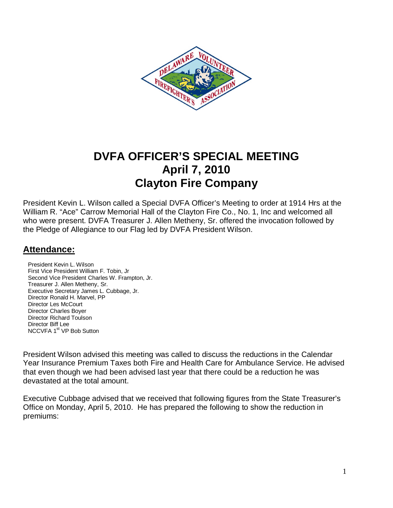

# **DVFA OFFICER'S SPECIAL MEETING April 7, 2010 Clayton Fire Company**

President Kevin L. Wilson called a Special DVFA Officer's Meeting to order at 1914 Hrs at the William R. "Ace" Carrow Memorial Hall of the Clayton Fire Co., No. 1, Inc and welcomed all who were present. DVFA Treasurer J. Allen Metheny, Sr. offered the invocation followed by the Pledge of Allegiance to our Flag led by DVFA President Wilson.

### **Attendance:**

President Kevin L. Wilson First Vice President William F. Tobin, Jr Second Vice President Charles W. Frampton, Jr. Treasurer J. Allen Metheny, Sr. Executive Secretary James L. Cubbage, Jr. Director Ronald H. Marvel, PP Director Les McCourt Director Charles Boyer Director Richard Toulson Director Biff Lee NCCVFA 1<sup>st</sup> VP Bob Sutton

President Wilson advised this meeting was called to discuss the reductions in the Calendar Year Insurance Premium Taxes both Fire and Health Care for Ambulance Service. He advised that even though we had been advised last year that there could be a reduction he was devastated at the total amount.

Executive Cubbage advised that we received that following figures from the State Treasurer's Office on Monday, April 5, 2010. He has prepared the following to show the reduction in premiums: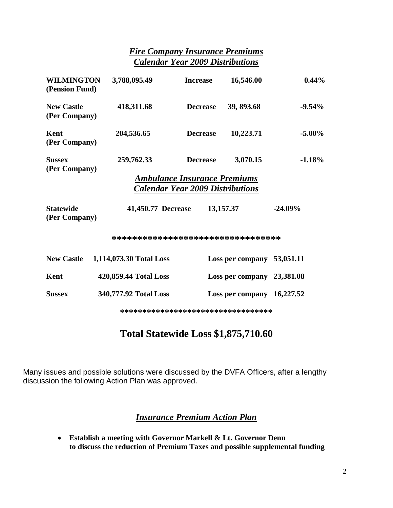### *Fire Company Insurance Premiums Calendar Year 2009 Distributions*

| <b>WILMINGTON</b><br>(Pension Fund)                                            | 3,788,095.49            | <b>Increase</b> | 16,546.00                    | 0.44%      |
|--------------------------------------------------------------------------------|-------------------------|-----------------|------------------------------|------------|
| <b>New Castle</b><br>(Per Company)                                             | 418,311.68              | <b>Decrease</b> | 39, 893.68                   | $-9.54%$   |
| Kent<br>(Per Company)                                                          | 204,536.65              | <b>Decrease</b> | 10,223.71                    | $-5.00\%$  |
| <b>Sussex</b><br>(Per Company)                                                 | 259,762.33              | <b>Decrease</b> | 3,070.15                     | $-1.18%$   |
| <b>Ambulance Insurance Premiums</b><br><b>Calendar Year 2009 Distributions</b> |                         |                 |                              |            |
| <b>Statewide</b><br>(Per Company)                                              | 41,450.77 Decrease      |                 | 13,157.37                    | $-24.09\%$ |
| *********************************                                              |                         |                 |                              |            |
| <b>New Castle</b>                                                              | 1,114,073.30 Total Loss |                 | Loss per company $53,051.11$ |            |
| Kent                                                                           | 420,859.44 Total Loss   |                 | Loss per company 23,381.08   |            |
| <b>Sussex</b>                                                                  | 340,777.92 Total Loss   |                 | Loss per company $16,227.52$ |            |

**\*\*\*\*\*\*\*\*\*\*\*\*\*\*\*\*\*\*\*\*\*\*\*\*\*\*\*\*\*\*\*\*\*\*** 

# **Total Statewide Loss \$1,875,710.60**

Many issues and possible solutions were discussed by the DVFA Officers, after a lengthy discussion the following Action Plan was approved.

### *Insurance Premium Action Plan*

• **Establish a meeting with Governor Markell & Lt. Governor Denn to discuss the reduction of Premium Taxes and possible supplemental funding**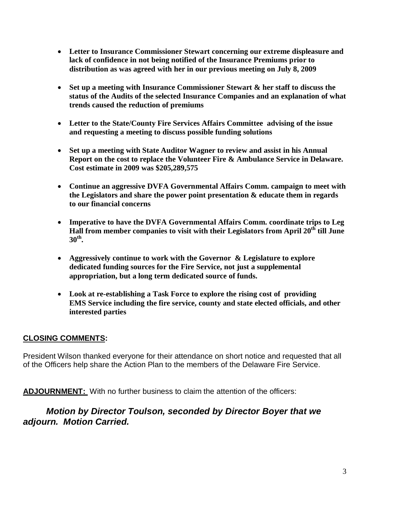- **Letter to Insurance Commissioner Stewart concerning our extreme displeasure and lack of confidence in not being notified of the Insurance Premiums prior to distribution as was agreed with her in our previous meeting on July 8, 2009**
- **Set up a meeting with Insurance Commissioner Stewart & her staff to discuss the status of the Audits of the selected Insurance Companies and an explanation of what trends caused the reduction of premiums**
- **Letter to the State/County Fire Services Affairs Committee advising of the issue and requesting a meeting to discuss possible funding solutions**
- **Set up a meeting with State Auditor Wagner to review and assist in his Annual Report on the cost to replace the Volunteer Fire & Ambulance Service in Delaware. Cost estimate in 2009 was \$205,289,575**
- **Continue an aggressive DVFA Governmental Affairs Comm. campaign to meet with the Legislators and share the power point presentation & educate them in regards to our financial concerns**
- **Imperative to have the DVFA Governmental Affairs Comm. coordinate trips to Leg Hall from member companies to visit with their Legislators from April 20th till June 30th .**
- **Aggressively continue to work with the Governor & Legislature to explore dedicated funding sources for the Fire Service, not just a supplemental appropriation, but a long term dedicated source of funds.**
- **Look at re-establishing a Task Force to explore the rising cost of providing EMS Service including the fire service, county and state elected officials, and other interested parties**

### **CLOSING COMMENTS:**

President Wilson thanked everyone for their attendance on short notice and requested that all of the Officers help share the Action Plan to the members of the Delaware Fire Service.

**ADJOURNMENT:** With no further business to claim the attention of the officers:

## **Motion by Director Toulson, seconded by Director Boyer that we adjourn. Motion Carried.**